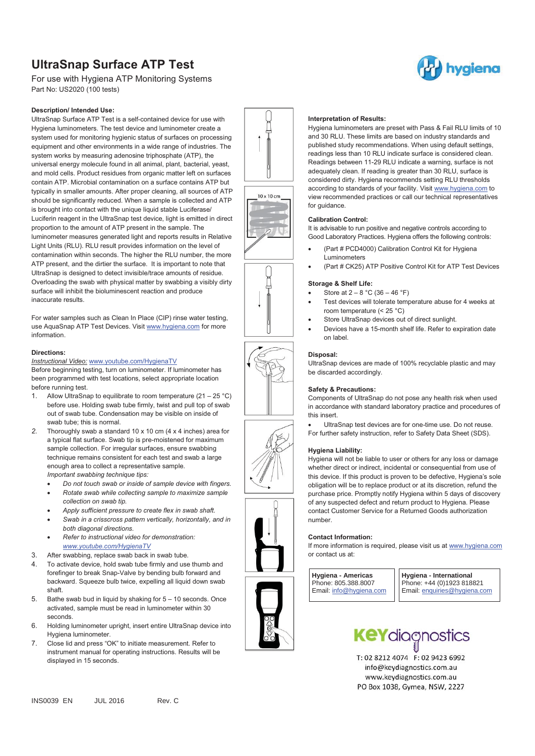# **UltraSnap Surface ATP Test**

For use with Hygiena ATP Monitoring Systems Part No: US2020 (100 tests)

## **Description/ Intended Use:**

UltraSnap Surface ATP Test is a self-contained device for use with Hygiena luminometers. The test device and luminometer create a system used for monitoring hygienic status of surfaces on processing equipment and other environments in a wide range of industries. The system works by measuring adenosine triphosphate (ATP), the universal energy molecule found in all animal, plant, bacterial, yeast and mold cells. Product residues from organic matter left on surfaces contain ATP. Microbial contamination on a surface contains ATP but typically in smaller amounts. After proper cleaning, all sources of ATP should be significantly reduced. When a sample is collected and ATP is brought into contact with the unique liquid stable Luciferase/ Luciferin reagent in the UltraSnap test device, light is emitted in direct proportion to the amount of ATP present in the sample. The luminometer measures generated light and reports results in Relative Light Units (RLU). RLU result provides information on the level of contamination within seconds. The higher the RLU number, the more ATP present, and the dirtier the surface. It is important to note that UltraSnap is designed to detect invisible/trace amounts of residue. Overloading the swab with physical matter by swabbing a visibly dirty surface will inhibit the bioluminescent reaction and produce inaccurate results.

For water samples such as Clean In Place (CIP) rinse water testing, use AquaSnap ATP Test Devices. Visit www.hygiena.com for more information.

### **Directions:**

## *Instructional Video:* www.youtube.com/HygienaTV

Before beginning testing, turn on luminometer. If luminometer has been programmed with test locations, select appropriate location before running test.

- 1. Allow UltraSnap to equilibrate to room temperature  $(21 25 °C)$ before use. Holding swab tube firmly, twist and pull top of swab out of swab tube. Condensation may be visible on inside of swab tube; this is normal.
- *2.* Thoroughly swab a standard 10 x 10 cm (4 x 4 inches) area for a typical flat surface. Swab tip is pre-moistened for maximum sample collection. For irregular surfaces, ensure swabbing technique remains consistent for each test and swab a large enough area to collect a representative sample. *Important swabbing technique tips:*

-*Do not touch swab or inside of sample device with fingers.* 

- - *Rotate swab while collecting sample to maximize sample collection on swab tip.*
- -*Apply sufficient pressure to create flex in swab shaft.*
- - *Swab in a crisscross pattern vertically, horizontally, and in both diagonal directions.*
- - *Refer to instructional video for demonstration: www.youtube.com/HygienaTV*
- 3. After swabbing, replace swab back in swab tube.
- To activate device, hold swab tube firmly and use thumb and forefinger to break Snap-Valve by bending bulb forward and backward. Squeeze bulb twice, expelling all liquid down swab shaft.
- 5. Bathe swab bud in liquid by shaking for 5 10 seconds. Once activated, sample must be read in luminometer within 30 seconds.
- 6. Holding luminometer upright, insert entire UltraSnap device into Hygiena luminometer.
- 7. Close lid and press "OK" to initiate measurement. Refer to instrument manual for operating instructions. Results will be displayed in 15 seconds.





## **Interpretation of Results:**

Hygiena luminometers are preset with Pass & Fail RLU limits of 10 and 30 RLU. These limits are based on industry standards and published study recommendations. When using default settings, readings less than 10 RLU indicate surface is considered clean. Readings between 11-29 RLU indicate a warning, surface is not adequately clean. If reading is greater than 30 RLU, surface is considered dirty. Hygiena recommends setting RLU thresholds according to standards of your facility. Visit www.hygiena.com to view recommended practices or call our technical representatives for guidance.

## **Calibration Control:**

It is advisable to run positive and negative controls according to Good Laboratory Practices. Hygiena offers the following controls:

- - (Part # PCD4000) Calibration Control Kit for Hygiena Luminometers
- -(Part # CK25) ATP Positive Control Kit for ATP Test Devices

### **Storage & Shelf Life:**

- -Store at  $2 - 8$  °C (36 – 46 °F)
- - Test devices will tolerate temperature abuse for 4 weeks at room temperature (< 25 °C)
- -Store UltraSnap devices out of direct sunlight.
- - Devices have a 15-month shelf life. Refer to expiration date on label.

### **Disposal:**

UltraSnap devices are made of 100% recyclable plastic and may be discarded accordingly.

#### **Safety & Precautions:**

Components of UltraSnap do not pose any health risk when used in accordance with standard laboratory practice and procedures of this insert.

- UltraSnap test devices are for one-time use. Do not reuse. For further safety instruction, refer to Safety Data Sheet (SDS).

### **Hygiena Liability:**

Hygiena will not be liable to user or others for any loss or damage whether direct or indirect, incidental or consequential from use of this device. If this product is proven to be defective, Hygiena's sole obligation will be to replace product or at its discretion, refund the purchase price. Promptly notify Hygiena within 5 days of discovery of any suspected defect and return product to Hygiena. Please contact Customer Service for a Returned Goods authorization number.

## **Contact Information:**

If more information is required, please visit us at www.hygiena.com or contact us at:

 $\overline{\phantom{a}}$ 

**Hygiena - Americas**  Phone: 805.388.8007 Email: info@hygiena.com **Hygiena - International**  Phone: +44 (0)1923 818821 Email: enquiries@hygiena.com



T: 02 8212 4074 F: 02 9423 6992 info@keydiagnostics.com.au www.keydiagnostics.com.au PO Box 1038, Gymea, NSW, 2227





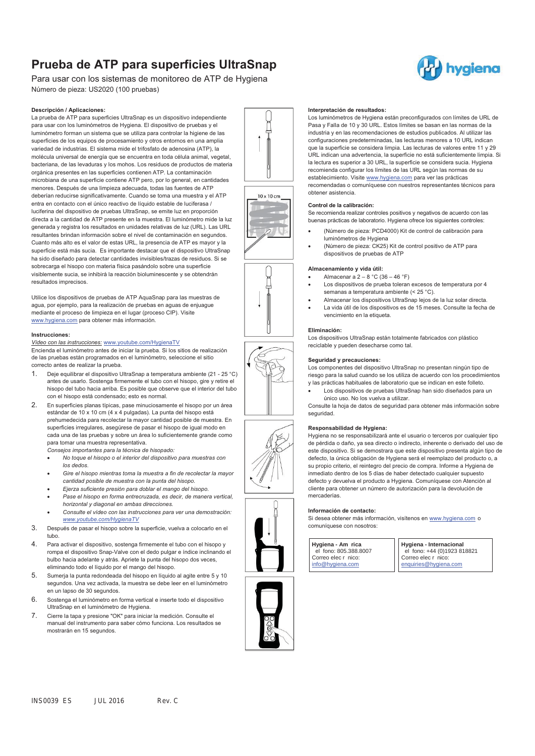## **Prueba de ATP para superficies UltraSnap**

Para usar con los sistemas de monitoreo de ATP de Hygiena Número de pieza: US2020 (100 pruebas)

#### **Descripción / Aplicaciones:**

La prueba de ATP para superficies UltraSnap es un dispositivo independiente para usar con los luminómetros de Hygiena. El dispositivo de pruebas y el luminómetro forman un sistema que se utiliza para controlar la higiene de las superficies de los equipos de procesamiento y otros entornos en una amplia variedad de industrias. El sistema mide el trifosfato de adenosina (ATP), la molécula universal de energía que se encuentra en toda célula animal, vegetal, bacteriana, de las levaduras y los mohos. Los residuos de productos de materia orgánica presentes en las superficies contienen ATP. La contaminación microbiana de una superficie contiene ATP pero, por lo general, en cantidades menores. Después de una limpieza adecuada, todas las fuentes de ATP deberían reducirse significativamente. Cuando se toma una muestra y el ATP entra en contacto con el único reactivo de líquido estable de luciferasa / luciferina del dispositivo de pruebas UltraSnap, se emite luz en proporción directa a la cantidad de ATP presente en la muestra. El luminómetro mide la luz generada y registra los resultados en unidades relativas de luz (URL). Las URL resultantes brindan información sobre el nivel de contaminación en segundos. Cuanto más alto es el valor de estas URL, la presencia de ATP es mayor y la superficie está más sucia. Es importante destacar que el dispositivo UltraSnap ha sido diseñado para detectar cantidades invisibles/trazas de residuos. Si se sobrecarga el hisopo con materia física pasándolo sobre una superficie visiblemente sucia, se inhibirá la reacción bioluminescente y se obtendrán resultados imprecisos.

Utilice los dispositivos de pruebas de ATP AquaSnap para las muestras de agua, por ejemplo, para la realización de pruebas en aguas de enjuague mediante el proceso de limpieza en el lugar (proceso CIP). Visite www.hygiena.com para obtener más información.

#### **Instrucciones:**

*Vídeo con las instrucciones:* www.youtube.com/HygienaTV

Encienda el luminómetro antes de iniciar la prueba. Si los sitios de realización de las pruebas están programados en el luminómetro, seleccione el sitio correcto antes de realizar la prueba.

- 1. Deie equilibrar el dispositivo UltraSnap a temperatura ambiente (21 25 °C) antes de usarlo. Sostenga firmemente el tubo con el hisopo, gire y retire el hisopo del tubo hacia arriba. Es posible que observe que el interior del tubo con el hisopo está condensado; esto es normal.
- 2. En superficies planas típicas, pase minuciosamente el hisopo por un área estándar de 10 x 10 cm (4 x 4 pulgadas). La punta del hisopo está prehumedecida para recolectar la mayor cantidad posible de muestra. En superficies irregulares, asegúrese de pasar el hisopo de igual modo en cada una de las pruebas y sobre un área lo suficientemente grande como para tomar una muestra representativa.

*Consejos importantes para la técnica de hisopado:* 

- - *No toque el hisopo o el interior del dispositivo para muestras con los dedos.*
- - *Gire el hisopo mientras toma la muestra a fin de recolectar la mayor cantidad posible de muestra con la punta del hisopo.*
- -*Ejerza suficiente presión para doblar el mango del hisopo.*
- - *Pase el hisopo en forma entrecruzada, es decir, de manera vertical, horizontal y diagonal en ambas direcciones.*
- - *Consulte el vídeo con las instrucciones para ver una demostración: www.youtube.com/HygienaTV*
- 3. Después de pasar el hisopo sobre la superficie, vuelva a colocarlo en el tubo.
- 4. Para activar el dispositivo, sostenga firmemente el tubo con el hisopo y rompa el dispositivo Snap-Valve con el dedo pulgar e índice inclinando el bulbo hacia adelante y atrás. Apriete la punta del hisopo dos veces, eliminando todo el líquido por el mango del hisopo.
- 5. Sumerja la punta redondeada del hisopo en líquido al agite entre 5 y 10 segundos. Una vez activada, la muestra se debe leer en el luminómetro en un lapso de 30 segundos.
- 6. Sostenga el luminómetro en forma vertical e inserte todo el dispositivo UltraSnap en el luminómetro de Hygiena.
- 7. Cierre la tapa y presione "OK" para iniciar la medición. Consulte el manual del instrumento para saber cómo funciona. Los resultados se mostrarán en 15 segundos.

#### **Interpretación de resultados:**

Los luminómetros de Hygiena están preconfigurados con límites de URL de Pasa y Falla de 10 y 30 URL. Estos límites se basan en las normas de la industria y en las recomendaciones de estudios publicados. Al utilizar las configuraciones predeterminadas, las lecturas menores a 10 URL indican que la superficie se considera limpia. Las lecturas de valores entre 11 y 29 URL indican una advertencia, la superficie no está suficientemente limpia. Si la lectura es superior a 30 URL, la superficie se considera sucia. Hygiena recomienda configurar los límites de las URL según las normas de su establecimiento. Visite www.hygiena.com para ver las prácticas recomendadas o comuníquese con nuestros representantes técnicos para obtener asistencia.

#### **Control de la calibración:**

Se recomienda realizar controles positivos y negativos de acuerdo con las buenas prácticas de laboratorio. Hygiena ofrece los siguientes controles:

- - (Número de pieza: PCD4000) Kit de control de calibración para luminómetros de Hygiena
- - (Número de pieza: CK25) Kit de control positivo de ATP para dispositivos de pruebas de ATP

## **Almacenamiento y vida útil:**

- -Almacenar a  $2 - 8$  °C (36 – 46 °F)
- - Los dispositivos de prueba toleran excesos de temperatura por 4 semanas a temperatura ambiente (< 25 °C).
- - Almacenar los dispositivos UltraSnap lejos de la luz solar directa. - La vida útil de los dispositivos es de 15 meses. Consulte la fecha de vencimiento en la etiqueta.

#### **Eliminación:**

Los dispositivos UltraSnap están totalmente fabricados con plástico reciclable y pueden desecharse como tal.

#### **Seguridad y precauciones:**

Los componentes del dispositivo UltraSnap no presentan ningún tipo de riesgo para la salud cuando se los utiliza de acuerdo con los procedimientos y las prácticas habituales de laboratorio que se indican en este folleto.

- Los dispositivos de pruebas UltraSnap han sido diseñados para un único uso. No los vuelva a utilizar.

Consulte la hoja de datos de seguridad para obtener más información sobre seguridad.

## **Responsabilidad de Hygiena:**

Hygiena no se responsabilizará ante el usuario o terceros por cualquier tipo de pérdida o daño, ya sea directo o indirecto, inherente o derivado del uso de este dispositivo. Si se demostrara que este dispositivo presenta algún tipo de defecto, la única obligación de Hygiena será el reemplazo del producto o, a su propio criterio, el reintegro del precio de compra. Informe a Hygiena de inmediato dentro de los 5 días de haber detectado cualquier supuesto defecto y devuelva el producto a Hygiena. Comuníquese con Atención al cliente para obtener un número de autorización para la devolución de mercaderías.

#### **Información de contacto:**

Si desea obtener más información, visítenos en www.hygiena.com o comuníquese con nosotros:

I

**Hygiena - Am rica**  el fono: 805.388.8007 Correo elec r nico: info@hygiena.com

**Hygiena - Internacional**  el fono: +44 (0)1923 818821 Correo elec r nico: enquiries@hygiena.com







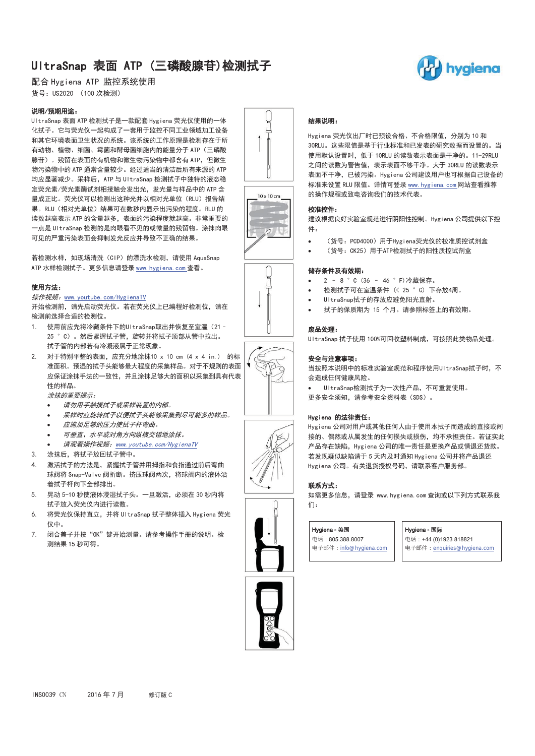## UltraSnap 表面 ATP (三磷酸腺苷)检测拭子



配合 Hygiena ATP 监控系统使用 货号: US2020 (100 次检测)

## 说明/预期用途:

UltraSnap 表面 ATP 检测拭子是一款配套 Hygiena 荧光仪使用的一体 化拭子。它与荧光仪一起构成了一套用于监控不同工业领域加工设备 和其它环境表面卫生状况的系统。该系统的工作原理是检测存在于所 有动物、植物、细菌、霉菌和酵母菌细胞内的能量分子 ATP (三磷酸 腺苷)。残留在表面的有机物和微生物污染物中都含有 ATP. 但微生 物污染物中的 ATP 通常含量较少。经过适当的清洁后所有来源的 ATP 均应显著减少。采样后, ATP 与 UI traSnap 检测拭子中独特的液态稳 定荧光素/荧光素酶试剂相接触会发出光,发光量与样品中的 ATP 含 量成正比。荧光仪可以检测出这种光并以相对光单位(RLU)报告结 果。RLU(相对光单位)结果可在数秒内显示出污染的程度。RLU 的 读数越高表示 ATP 的含量越多, 表面的污染程度就越高。非常重要的 一点是 UltraSnap 检测的是肉眼看不见的或微量的残留物。涂抹肉眼 可见的严重污染表面会抑制发光反应并导致不正确的结果。

若检测水样, 如现场清洗 (CIP) 的漂洗水检测, 请使用 AquaSnap ATP 水样检测拭子。更多信息请登录 www. hygiena. com 查看。

## 使用方法:

### 操作视频: www.youtube.com/HygienaTV

开始检测前,请先启动荧光仪。若在荧光仪上已编程好检测位,请在 检测前洗择合话的检测位。

- 1. 使用前应先将冷藏条件下的UltraSnap取出并恢复至室温 (21-25 ° C) 。然后紧握拭子管, 旋转并将拭子顶部从管中拉出。 拭子管的内部若有冷凝液属于正常现象。
- $2.$  对于特别平整的表面,应充分地涂抹10 x 10 cm  $(4 \times 4 \text{ in.})$  的标 准面积。预湿的拭子头能够最大程度的采集样品。对于不规则的表面 应保证涂抹手法的一致性,并且涂抹足够大的面积以采集到具有代表 性的样品。

涂抹的重要提示:

- -请勿用手触摸拭子或采样装置的内部。
- -采样时应旋转拭子以便拭子头能够采集到尽可能多的样品。
- -应施加足够的压力使拭子杆弯曲。
- -可垂直、水平或对角方向纵横交错地涂抹。
- -请观看操作视频: www.youtube.com/HygienaTV
- 3. 涂抹后,将拭子放回拭子管中。
- 4. 激活拭子的方法是,紧握拭子管并用拇指和食指通过前后弯曲 球阀将 Snap-Valve 阀折断。挤压球阀两次, 将球阀内的液体沿 着拭子杆向下全部排出。
- 5. 晃动 5-10 秒使液体浸湿拭子头。一旦激活, 必须在 30 秒内将 拭子放入荧光仪内进行读数。
- 6. 将荧光仪保持直立, 并将 UltraSnap 拭子整体插入 Hygiena 荧光 仪中。
- 7. 闭合盖子并按"OK"键开始测量。请参考操作手册的说明。检 测结果 15 秒可得。







 $\not\in$ 

## 结果说明:

Hygiena 荧光仪出厂时已预设合格、不合格限值, 分别为 10 和 30RLU。这些限值是基于行业标准和已发表的研究数据而设置的。当 使用默认设置时, 低于 10RLU 的读数表示表面是干净的。11-29RLU 之间的读数为警告值, 表示表面不够干净。大于 30RLU 的读数表示 表面不干净,已被污染。Hvgiena 公司建议用户也可根据自己设备的 标准来设置 RLU 限值。详情可登录 www. hygiena. com 网站查看推荐 的操作规程或致电咨询我们的技术代表。

## 校准控件:

-

-

建议根据良好实验室规范进行阴阳性控制。Hygiena 公司提供以下控 件:

- (货号: PCD4000) 用于Hygiena荧光仪的校准质控试剂盒
- (货号: CK25) 用于ATP检测拭子的阳性质控试剂盒

## 储存条件及有效期:

- -2 - 8 ° C (36 - 46 ° F)冷藏保存。
- -检测拭子可在室温条件 (< 25 ° C) 下存放4周。
- -UltraSnap拭子的存放应避免阳光直射。
- -拭子的保质期为 15 个月。请参照标签上的有效期。

### 废品处理:

UltraSnap 拭子使用 100%可回收塑料制成, 可按照此类物品处理。

## 安全与注意事项:

当按照本说明中的标准实验室规范和程序使用UltraSnap拭子时, 不 会造成任何健康风险。

-UltraSnap检测拭子为一次性产品,不可重复使用。 更多安全须知, 请参考安全资料表 (SDS)。

## Hygiena 的法律责任:

Hygiena 公司对用户或其他任何人由于使用本拭子而造成的直接或间 接的、偶然或从属发生的任何损失或损伤,均不承担责任。若证实此 产品存在缺陷, Hygiena 公司的唯一责任是更换产品或情退还货款。 若发现疑似缺陷请于 5 天内及时通知 Hygiena 公司并将产品退还 Hygiena 公司。有关退货授权号码, 请联系客户服务部。

## 联系方式:

如需更多信息, 请登录 www. hygiena. com 查询或以下列方式联系我 δ1.

#### Hygiena - 美国

电话: 805.388.8007 电子邮件: info@hygiena.com Hygiena - 国际

 电话: +44 (0)1923 818821 电子邮件: enquiries@hygiena.com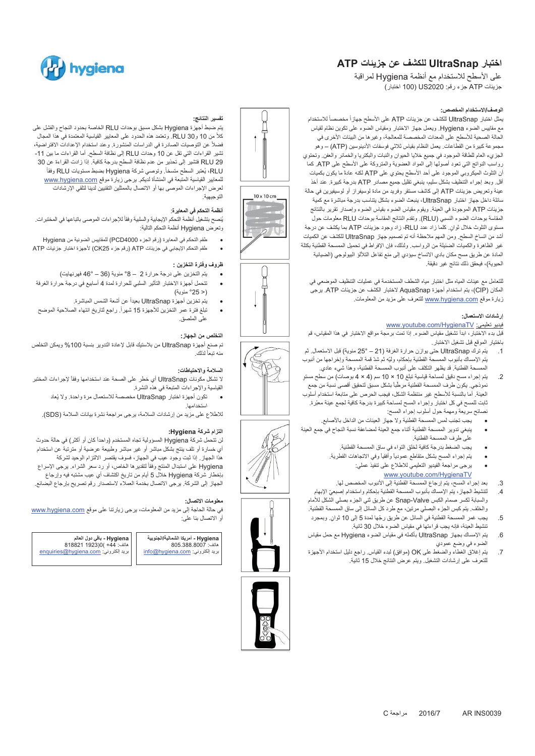## **اختبار UltraSnap للكشف عن جزيئات ATP**

على الأسطح للاستخدام مع أنظمة Hygiena لمراقبة جزيئات ATP جزء رقم: 2020US) 100 اختبار)

## **الوصف/الاستخدام المخصص:**

مثل اختبار UltraSnap للكشف عن جزيئات ATP على الأسطح جهاز أ مخصصاً للاستخدام مع مقاييس الضوء Hygiena. ويعمل جهاز الاختبار ومقياس الضوء على تكوين نظام لقياس الحالة الصحية للأسطح على المعدات المخصصة للمعالجة، وغيرها من البيئات الأخرى في مجموعة كبيرة من القطاعات. يعمل النظام بقياس ثلاثي فوسفات الأدينوسين (ATP – (وهو الجزيء العام للطاقة الموجود في جميع خلايا الحيوان والنبات والبكتريا والخمائر والعفن. وتحتوي رواسب النواتج التي تعود أصولها إلى المواد العضوية والمتروكة على الأسطح على ATP. كما ن التلوث الميكروبي الموجود على أحد الأسطح يحتوي على ATP لكنه عادةً ما يكون بكميات أقل. وبعد إجراء التنظيف بشكل سليم، ينبغي تقليل جميع مصادر ATP بدرجة كبيرة. عند أخذ عينة وتعريض جزيئات ATP إلى كاشف مستقر وفريد من مادة لوسيفراز أو لوسيفيرين في حالة سائلة داخل جهاز اختبار UltraSnap، ينبعث الضوء بشكل يتناسب بدرجة مباشرة مع كمية جزيئات ATP الموجودة في العينة. ويقوم مقياس الضوء بقياس الضوء وإصدار تقرير بالنتائج المقاسة بوحدات الضوء النسبي (RLU(. وتقدم النتائج المقاسة بوحدات RLU معلومات حول مستوى التلوث خلال ثوانٍ. كلما زاد عدد RLU، زاد وجود جزيئات ATP بما يكشف عن درجة أشد من اتساخ السطح. ومن المهم ملاحظة أنه تم تصميم جهاز UltraSnap للكشف عن الكميات غير الظاهرة والكميات الضئيلة من الرواسب. ولذلك، فإن الإفراط في تحميل الممسحة القطنية بكتلة المادة عن طريق مسح مكان بادي الاتساخ سيؤدي إلى منع تفاعل التلألؤ البيولوجي (الضيائية الحيوية)، فيحقق ذلك نتائج غير دقيقة.

للتعامل مع عينات المياه مثل اختبار مياه الشطف المستخدمة في عمليات التنظيف الموضعي في المكان (CIP(، يتم استخدام أجهزة AquaSnap لاختبار الكشف عن جزيئات ATP. يرجى زيارة موقع www.hygiena.com للتعرف على مزيد من المعلومات.

## **إرشادات الاستعمال:**

## www.youtube.com/HygienaTV :تعليمي فيديو

قبل بدء الاختبار، ابدأ تشغيل مقياس الضوء. إذا تمت برمجة مواقع الاختبار في هذا المقياس، قم باختيار الموقع قبل تشغيل الاختبار.

- .1 يتم ترك UltraSnap حتى يوازن حرارة الغرفة (21 25° مئوية) قبل الاستعمال. ثم يتم الإمساك بأنبوب الممسحة القطنية بإحكام، وليّه ثم شدّ قمة الممسحة وإخراجها من أنبوب .<br>لممسحة القطنية قد يظهر التكثف على أنبوب الممسحة القطنية، وهذا شيء عادي<sub>.</sub>
- .2 يتم إجراء مسح دقيق لمساحة قياسية تبلغ 10 × 10 سم (4 × 4 ٍ بوصات) من سطح مستو نموذجي. يكون طرف الممسحة القطنية مرطّباً بشكل مسبق لتحقيق أقصىي نسبة من جمع العينة. أما بالنسبة للأسطح غير منتظمة الشكل، فيجب الحرص على متابعة استخدام أسلوب ثابت للمسح في كل اختبار وإجراء المسح لمساحة كبيرة بدرجة كافية لجمع عينة معبّرة. نصائح سريعة ومهمة حول أسلوب إجراء المسح:
	- -يجب تجنب لمس الممسحة القطنية ولا جهاز العينات من الداخل بالأصابع.
- - ينبغي تدوير الممسحة القطنية أثناء جمع العينة لمضاعفة نسبة النجاح في جمع العينة على طرف الممسحة القطنية. -
	- يجب الضغط بدرجة كافية لخلق التواء في ساق الممسحة القطنية.
	- بتم إجراء المسح بشكل متقاطع عمودياً وأفقياً وفي الاتجاهات القطرية. -
		- -يرجى مراجعة الفيديو التعليمي للاطلاع على تنفيذ عملي:
		- www.youtube.com/HygienaTV .3 بعد إجراء المسح، يتم إرجاع الممسحة القطنية إلى الأنبوب المخصص لها.
	- .4 ّ لتنشيط الجهاز، يتم الإمساك بأنبوب الممسحة القطنية بإحكام واستخدام إصبعي الإبهام والسبابة لكسر صمام الكبس Valve-Snap عن طريق ثني الجزء بصلي الشكل للأمام
	- والخلف. يتم كبس الجزء البصلي مرتين، مع طرد كل السائل إلى ساق الممسحة القطنية. .5 ّ يجب غمر الممسحة القطنية في السائل عن طريق رجها لمدة 5 إلى 10 ٍ ثوان. وبمجرد
	- تنشيط العينة، فإنه يجب قراءتها في مقياس الضوء خلال 30 ثانية. .6 يتم الإمساك بجهاز UltraSnap بأكمله في مقياس الضوء Hygiena مع حمل مقياس
	- الضوء في وضع عمودي .7 يتم إغلاق الغطاء والضغط على OK) موافق) لبدء القياس. راجع دليل استخدام الأجهزة
	- للتعرف على إرشادات التشغيل. ويتم عرض النتائج خلال 15 ثانية.



 $10 \times 10 cm$ 

## **تفسير النتائج:**

يتم ضبط أجهزة Hygiena بشكل مسبق بوحدات RLU الخاصة بحدود النجاح والفشل على ً من 10 و30 RLU. وتعتمد هذه الحدود على المعايير القياسية المعتمدة في هذا المجال كلا ً عن التوصيات الصادرة في الدراسات المنشورة. وعند استخدام الإعدادات الافتراضية، فضلا تشير القراءات التي تقل عن 10 وحدات RLU إلى نظافة السطح. أما القراءات ما بين -11 29 RLU فتشير إلى تحذير من عدم نظافة السطح بدرجة كافية. إذا زادت القراءة عن 30 ً .ً وتوصي شركة Hygiena بضبط مستويات RLU وفقا ُعتبر السطح متسخا RLU، ي للمعايير القياسية المتبعة في المنشأة لديكم. يرجى زيارة موقع <u>www.hygiena.com</u> لعرض الإجراءات الموصى بها أو الاتصال بالممثلين التقنيين لدينا لتلقي الإرشادات التوجيهية.

hvaiena

## **أنظمة التحكم في المعايرة**:

-

-

-

يُنصح بتشغيل أنظمة التحكم الإيجابية والسلبية وفقاً للإجراءات الموصىي باتباعها في المختبرات. وتعرض Hygiena أنظمة التحكم التالية:

- طقم التحكم في المعايرة (رقم الجزء 4000PCD (للمقاييس الضوئية من Hygiena
- -طقم التحكم الإيجابي في جزيئات ATP) رقم جزء 25CK (لأجهزة اختبار جزئيات ATP

## **ظروف وفترة التخزين :**

- -يتم التخزين على درجة حرارة 2 – °8 مئوية (36 – 46° فهرنهايت)
- - تتحمل أجهزة الاختبار التأثير السلبي للحرارة لمدة 4 أسابيع في درجة حرارة الغرفة (< °25 مئوية)
	- يتم تخزين أجهزة UltraSnap بعيداً عن أشعة الشمس المباشرة. -
- تبلغ فترة عمر التخزين للأجهزة 15 شهراً. راجع لتاريخ انتهاء الصلاحية الموضح على الملصق.

## **التخلص من الجهاز:**

تم صنع أجهزة UltraSnap من بلاستيك قابل لإعادة التدوير بنسبة %100 ويمكن التخلص منه تبعاً لذلك

## **السلامة والاحتياطات:**

لا تشكل مكونات UltraSnap أي خطر على الصحة عند استخدامها وفقاً لإجراءات المختبر القياسية والإجراءات المتبعة في هذه النشرة.

تكون أجهزة اختبار UltraSnap مخصصة للاستعمال مرة واحدة. ولا يُعاد استخدامها.

للاطلاع على مزيد من إرشادات السلامة، يرجى مراجعة نشرة بيانات السلامة (SDS(.

## **التزام شركة Hygiena:**

لن تتحمل شركة Hygiena المسؤولية تجاه المستخدم (واحداً كان أو أكثر) في حالة حدوث أي خسارة أو تلف ينتج بشكل مباشر أو غير مباشر وطبيعة عرضية أو مترتبة عن استخدام هذا الجهاز. إذا ثبت وجود عيب في الجهاز، فسوف يقتصر الالتزام الوحيد لشركة Hygiena على استبدال المنتج وفقأ لتقدير ها الخاص، أو رد سعر الشراء. برجى الإسراع بإخطار شركة Hygiena خلال 5 أيام من تاريخ اكتشاف أي عيب مشتبه فيه وإرجاع الجهاز إلى الشركة. يرجى الاتصال بخدمة العملاء لاستصدار رقم تصريح بإرجاع البضائع.

## **معلومات الاتصال:**

في حالة الحاجة إلى مزيد من المعلومات، يرجى زيارتنا على موقع www.hygiena.com أو الاتصال بنا على:

| Hygiena - باقى دول العالم            | Hygiena - أمريكا الشمالية/الجنوبية |
|--------------------------------------|------------------------------------|
| 818821 1923)0( +44                   | 805.388.8007 هاتف:                 |
| بريد الكتروني: enquiries@hygiena.com | بريد الكتروني: info@hygiena.com    |
|                                      |                                    |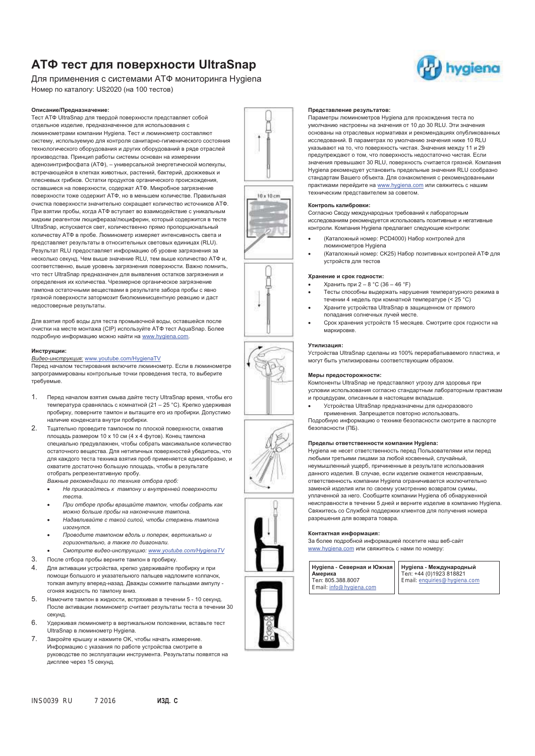## **АТФ тест для поверхности UltraSnap**

Для применения с системами АТФ мониторинга Hygiena Номер по каталогу: US2020 (на 100 тестов)

#### **Описание/Предназначение:**

Тест АТФ UltraSnap для твердой поверхности представляет собой отдельное изделие, предназначенное для использования с люминометрами компании Hygiena. Тест и люминометр составляют систему, используемую для контроля санитарно-гигиенического состояния технологического оборудования и других оборудований в ряде отраслей производства. Принцип работы системы основан на измерении аденозинтрифосфата (ATФ), – универсальной энергетической молекулы, встречающейся в клетках животных, растений, бактерий, дрожжевых и плесневых грибков. Остатки продуктов органического происхождения, оставшиеся на поверхности, содержат АТФ. Микробное загрязнение поверхности тоже содержит АТФ, но в меньшем количестве. Правильная очистка поверхности значительно сокращает количество источников АТФ. При взятии пробы, когда АТФ вступает во взаимодействие с уникальным жидким реагентом люцифераза/люциферин, который содержится в тесте UltraSnap, испускается свет, количественно прямо пропорциональный количеству АТФ в пробе. Люминометр измеряет интенсивность света и представляет результаты в относительных световых единицах (RLU). Результат RLU предоставляет информацию об уровне загрязнения за несколько секунд. Чем выше значение RLU, тем выше количество АТФ и, соответственно, выше уровень загрязнения поверхности. Важно помнить, что тест UltraSnap предназначен для выявления остатков загрязнения и определения их количества. Чрезмерное органическое загрязнение тампона остаточными веществами в результате забора пробы с явно грязной поверхности затормозит биолюминисцентную реакцию и даст недостоверные результаты.

Для взятия проб воды для теста промывочной воды, оставшейся после ...<br>очистки на месте монтажа (CIP) используйте АТФ тест AquaSnap. Более подробную информацию можно найти на www.hygiena.com.

#### **Инструкции:**

#### *Видео-инструкция:* www.youtube.com/HygienaTV

Перед началом тестирования включите люминометр. Если в люминометре запрограммированы контрольные точки проведения теста, то выберите требуемые.

- 1. Перед началом взятия смыва дайте тесту UltraSnap время, чтобы его температура сравнялась с комнатной (21 – 25 °C). Крепко удерживая пробирку, поверните тампон и вытащите его из пробирки. Допустимо наличие конденсата внутри пробирки.
- 2. Тщательно проведите тампоном по плоской поверхности, охватив площадь размером 10 x 10 см (4 x 4 футов). Конец тампона специально предувлажнен, чтобы собрать максимальное количество остаточного вещества. Для нетипичных поверхностей убедитесь, что для каждого теста техника взятия проб применяется единообразно, и охватите достаточно большую площадь, чтобы в результате отобрать репрезентативную пробу.

*Важные рекомендации по технике отбора проб:* 

- - *Не прикасайтесь к тампону и внутренней поверхности теста.*
- - *При отборе пробы вращайте тампон, чтобы собрать как можно больше пробы на наконечнике тампона.*
- - *Надавливайте с такой силой, чтобы стержень тампона изогнулся.*
- - *Проводите тампоном вдоль и поперек, вертикально и горизонтально, а также по диагонали.*
- -*Смотрите видео-инструкцию: www.youtube.com/HygienaTV*
- 3. После отбора пробы верните тампон в пробирку.
- 4. Для активации устройства, крепко удерживайте пробирку и при помощи большого и указательного пальцев надломите колпачок, толкая ампулу вперед-назад. Дважды сожмите пальцами ампулу сгоняя жидкость по тампону вниз.
- 5. Намочите тампон в жидкости, встряхивая в течении 5 10 секунд. После активации люминометр считает результаты теста в течении 30 секунд.
- 6. Удерживая люминометр в вертикальном положении, вставьте тест UltraSnap в люминометр Hygiena.
- 7. Закройте крышку и нажмите OK, чтобы начать измерение. Информацию с указания по работе устройства смотрите в руководстве по эксплуатации инструмента. Результаты появятся на дисплее через 15 секунд.

## INS0039 RU 7 2016 **ИЗД. C**

#### **Представление результатов:**

Параметры люминометров Hygiena для прохождения теста по умолчанию настроены на значения от 10 до 30 RLU. Эти значения основаны на отраслевых нормативах и рекомендациях опубликованных исследований. В параметрах по умолчанию значения ниже 10 RLU указывают на то, что поверхность чистая. Значения между 11 и 29 предупреждают о том, что поверхность недостаточно чистая. Если значения превышают 30 RLU, поверхность считается грязной. Компания Hygiena рекомендует установить предельные значения RLU сообразно стандартам Вашего объекта. Для ознакомления с рекомендованными практиками перейдите на www.hygiena.com или свяжитесь с нашим техническим представителем за советом.

#### **Контроль калибровки:**

-

-

-

Согласно Своду международных требований к лабораторным исследованиям рекомендуется использовать позитивные и негативные контроли. Компания Hygiena предлагает следующие контроли:

- (Каталожный номер: PCD4000) Набор контролей для люминометров Hygiena
- (Каталожный номер: CK25) Набор позитивных контролей АТФ для устройств для тестов

#### **Хранение и срок годности:**

- -Хранить при 2 – 8 °C (36 – 46 °F)
- - Тесты способны выдержать нарушения температурного режима в течении 4 недель при комнатной температуре (< 25 °C) -
- Храните устройства UltraSnap в защищенном от прямого попадания солнечных лучей месте.
- - Срок хранения устройств 15 месяцев. Смотрите срок годности на маркировке.

## **Утилизация:**

Устройства UltraSnap сделаны из 100% перерабатываемого пластика, и могут быть утилизированы соответствующим образом.

## **Меры предосторожности:**

Компоненты UltraSnap не представляют угрозу для здоровья при условии использования согласно стандартным лабораторным практикам и процедурам, описанным в настоящем вкладыше.

 Устройства UltraSnap предназначены для одноразового применения. Запрещается повторно использовать.

Подробную информацию о технике безопасности смотрите в паспорте безопасности (ПБ).

#### **Пределы ответственности компании Hygiena:**

Hygiena не несет ответственность перед Пользователями или перед любыми третьими лицами за любой косвенный, случайный, неумышленный ущерб, причиненные в результате использования данного изделия. В случае, если изделие окажется неисправным, ответственность компании Hygiena ограничивается исключительно заменой изделия или по своему усмотрению возвратом суммы, уплаченной за него. Сообщите компании Hygiena об обнаруженной неисправности в течении 5 дней и верните изделие в компанию Hygiena. Свяжитесь со Службой поддержки клиентов для получения номера разрешения для возврата товара.

#### **Контактная информация:**

За более подробной информацией посетите наш веб-сайт www.hygiena.com или свяжитесь с нами по номеру:

 $\overline{\phantom{a}}$ 



**Hygiena - Международный** Тел: +44 (0)1923 818821 Email: enquiries@hygiena.com











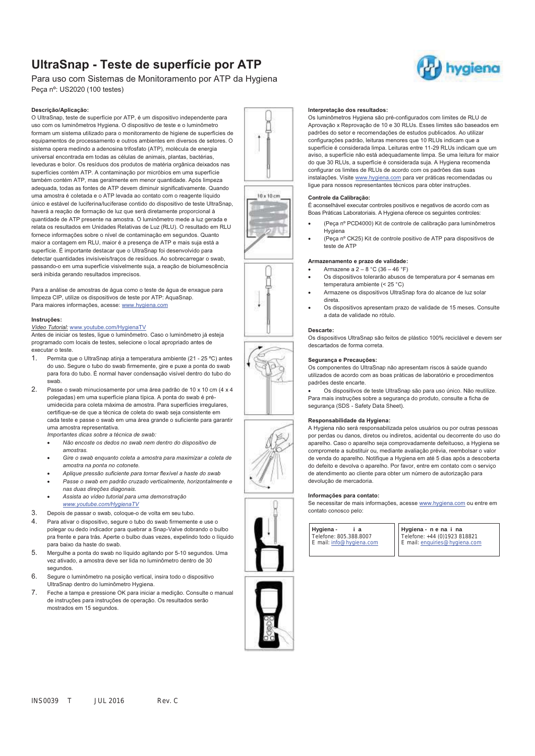## **UltraSnap - Teste de superfície por ATP**

## Para uso com Sistemas de Monitoramento por ATP da Hygiena Peça nº: US2020 (100 testes)

#### **Descrição/Aplicação:**

O UltraSnap, teste de superfície por ATP, é um dispositivo independente para uso com os luminômetros Hygiena. O dispositivo de teste e o luminômetro formam um sistema utilizado para o monitoramento de higiene de superfícies de equipamentos de processamento e outros ambientes em diversos de setores. O sistema opera medindo a adenosina trifosfato (ATP), molécula de energia universal encontrada em todas as células de animais, plantas, bactérias, leveduras e bolor. Os resíduos dos produtos de matéria orgânica deixados nas superfícies contém ATP. A contaminação por micróbios em uma superfície também contém ATP, mas geralmente em menor quantidade. Após limpeza adequada, todas as fontes de ATP devem diminuir significativamente. Quando uma amostra é coletada e o ATP levada ao contato com o reagente líquido único e estável de luciferina/luciferase contido do dispositivo de teste UltraSnap, haverá a reação de formação de luz que será diretamente proporcional à quantidade de ATP presente na amostra. O luminômetro mede a luz gerada e relata os resultados em Unidades Relativas de Luz (RLU). O resultado em RLU fornece informações sobre o nível de contaminação em segundos. Quanto maior a contagem em RLU, maior é a presença de ATP e mais suja está a superfície. É importante destacar que o UltraSnap foi desenvolvido para detectar quantidades invisíveis/traços de resíduos. Ao sobrecarregar o swab, passando-o em uma superfície visivelmente suja, a reação de biolumescência será inibida gerando resultados imprecisos.

Para a análise de amostras de água como o teste de água de enxague para limpeza CIP, utilize os dispositivos de teste por ATP: AquaSnap. Para maiores informações, acesse: www.hygiena.com

#### **Instruções:**

#### *Vídeo Tutorial:* www.youtube.com/HygienaTV

Antes de iniciar os testes, ligue o luminômetro. Caso o luminômetro já esteja programado com locais de testes, selecione o local apropriado antes de executar o teste.

- 1. Permita que o UltraSnap atinja a temperatura ambiente (21 25 ºC) antes do uso. Segure o tubo do swab firmemente, gire e puxe a ponta do swab para fora do tubo. É normal haver condensação visível dentro do tubo do swab.
- 2. Passe o swab minuciosamente por uma área padrão de 10 x 10 cm (4 x 4 polegadas) em uma superfície plana típica. A ponta do swab é préumidecida para coleta máxima de amostra. Para superfícies irregulares, certifique-se de que a técnica de coleta do swab seja consistente em cada teste e passe o swab em uma área grande o suficiente para garantir uma amostra representativa.

*Importantes dicas sobre a técnica de swab:* 

- - *Não encoste os dedos no swab nem dentro do dispositivo de amostras.*
- - *Gire o swab enquanto coleta a amostra para maximizar a coleta de amostra na ponta no cotonete.*
- -*Aplique pressão suficiente para tornar flexível a haste do swab*
- - *Passe o swab em padrão cruzado verticalmente, horizontalmente e nas duas direções diagonais.*
- - *Assista ao vídeo tutorial para uma demonstração www.youtube.com/HygienaTV*
- 3. Depois de passar o swab, coloque-o de volta em seu tubo.
- 4. Para ativar o dispositivo, segure o tubo do swab firmemente e use o polegar ou dedo indicador para quebrar a Snap-Valve dobrando o bulbo pra frente e para trás. Aperte o bulbo duas vezes, expelindo todo o líquido para baixo da haste do swab.
- 5. Mergulhe a ponta do swab no líquido agitando por 5-10 segundos. Uma vez ativado, a amostra deve ser lida no luminômetro dentro de 30 segundos.
- 6. Segure o luminômetro na posição vertical, insira todo o dispositivo UltraSnap dentro do luminômetro Hygiena.
- 7. Feche a tampa e pressione OK para iniciar a medição. Consulte o manual de instruções para instruções de operação. Os resultados serão mostrados em 15 segundos.

Os luminômetros Hygiena são pré-configurados com limites de RLU de Aprovação x Reprovação de 10 e 30 RLUs. Esses limites são baseados em padrões do setor e recomendações de estudos publicados. Ao utilizar configurações padrão, leituras menores que 10 RLUs indicam que a superfície é considerada limpa. Leituras entre 11-29 RLUs indicam que um aviso, a superfície não está adequadamente limpa. Se uma leitura for maior do que 30 RLUs, a superfície é considerada suja. A Hygiena recomenda configurar os limites de RLUs de acordo com os padrões das suas instalações. Visite www.hygiena.com para ver práticas recomendadas ou ligue para nossos representantes técnicos para obter instruções.

#### **Controle da Calibração:**

É aconselhável executar controles positivos e negativos de acordo com as Boas Práticas Laboratoriais. A Hygiena oferece os seguintes controles:

- - (Peça nº PCD4000) Kit de controle de calibração para luminômetros Hygiena
- (Peça nº CK25) Kit de controle positivo de ATP para dispositivos de teste de ATP

#### **Armazenamento e prazo de validade:**

- - Armazene a 2 – 8 °C (36 – 46 °F)
	- Os dispositivos tolerarão abusos de temperatura por 4 semanas em temperatura ambiente (< 25 °C)
- - Armazene os dispositivos UltraSnap fora do alcance de luz solar direta.
- - Os dispositivos apresentam prazo de validade de 15 meses. Consulte a data de validade no rótulo.

#### **Descarte:**

-

-

Os dispositivos UltraSnap são feitos de plástico 100% reciclável e devem ser descartados de forma correta.

### **Segurança e Precauções:**

Os componentes do UltraSnap não apresentam riscos à saúde quando utilizados de acordo com as boas práticas de laboratório e procedimentos padrões deste encarte.

- Os dispositivos de teste UltraSnap são para uso único. Não reutilize. Para mais instruções sobre a segurança do produto, consulte a ficha de segurança (SDS - Safety Data Sheet).

#### **Responsabilidade da Hygiena:**

A Hygiena não será responsabilizada pelos usuários ou por outras pessoas por perdas ou danos, diretos ou indiretos, acidental ou decorrente do uso do aparelho. Caso o aparelho seja comprovadamente defeituoso, a Hygiena se compromete a substituir ou, mediante avaliação prévia, reembolsar o valor de venda do aparelho. Notifique a Hygiena em até 5 dias após a descoberta do defeito e devolva o aparelho. Por favor, entre em contato com o serviço de atendimento ao cliente para obter um número de autorização para devolução de mercadoria.

#### **Informações para contato:**

Se necessitar de mais informações, acesse www.hygiena.com ou entre em contato conosco pelo:

 $\overline{\phantom{a}}$ 

**Hygiena - i a**  Telefone: 805.388.8007 E mail: info@hygiena.com

**Hygiena - n e na i na**  Telefone: +44 (0)1923 818821 E mail: enquiries@hygiena.com









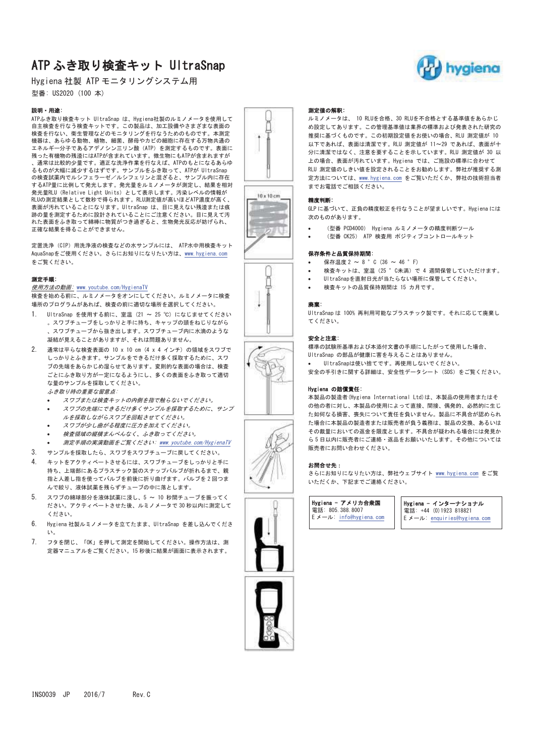# ATP ふき取り検査キット UltraSnap

Hygiena 社製 ATP モニタリングシステム用 型番: US2020 (100 本)

## 説明·用途:

ATPふき取り検査キット UltraSnap は、Hygiena社製のルミノメータを使用して 自主検査を行なう検査キットです。この製品は、加工設備やさまざまな表面の ᐃ ᮏࠋࡍ࡛ࡢࡶࡢࡵࡓ࠺࡞足ࢆࢢࣥࣜࢱࢽࣔࡢ࡞⌮⟶⏕門ࠊ࠸࡞足ࢆᰝ᳨ 機器は、あらゆる動物、植物、細菌、酵母やカビの細胞に存在する万物共通の エネルギー分子であるアデノシン三リン酸 (ATP) を測定するものです。表面に 残った有機物の残渣にはATPが含まれています。微生物にもATPが含まれますが 通常は比較的少量です。適正な洗浄作業を行なえば、ATPのもとになるあらゆ るものが大幅に減少するはずです。サンプルをふき取って、ATPが UltraSnap の検査試薬内でルシフェラーゼ/ルシフェリンと混ざると、サンプル内に存在 するATP量に比例して発光します。発光量をルミノメータが測定し、結果を相対 Ⓨග㔞5/8㸦5HODWLYH/LJKW8QLWV㸧࡚ࡋ♧韭ࠋࡍࡲࡋởᰁࡢࣝ࣋ࣞሗࡀ RLUの測定結果として数秒で得られます。RLU測定値が高いほどATP濃度が高く、 表面が汚れていることになります。UltraSnap は、目に見えない残渣または痕 跡の量を測定するために設計されていることにご注意ください。目に見えて汚 れた表面をふき取って綿棒に物質がつき過ぎると、生物発光反応が妨げられ、 正確な結果を得ることができません。

**定置洗浄 (CIP) 用洗浄液の検査などの水サンプルには、 ATP水中用検査キット** AquaSnapをご使用ください。さらにお知りになりたい方は、www.hygiena.com をご覧ください。

### 測定手順:

#### 使用方法の動画: www.youtube.com/HygienaTV

検査を始める前に、ルミノメータをオンにしてください。ルミノメータに検査 場所のプログラムがあれば、検査の前に適切な場所を選択してください。

- 1. UltraSnap を使用する前に、室温 (21 ~ 25 °C) になじませてください 。スワブチューブをしっかりと手に持ち、キャップの頭をねじりながら .スワブチューブから抜き出します.スワブチューブ内に水滴のような 凝結が見えることがありますが、それは問題ありません。
- 2. 通常は平らな検査表面の 10 x 10 cm (4 x 4 インチ) の領域をスワブで しっかりとふきます。サンプルをできるだけ多く採取するために、スワ づの先端をあらかじめ湿らせてあります。変則的な表面の場合は、検査 ごとにふき取り方が一定になるようにし、多くの表面をふき取って適切 な量のサンプルを採取してください。 ふま取り時面重か留音占
	- スワブまたは検査キットの内側を指で触らないでください。
	- スワブの先端にできるだけ多くサンプルを採取するために、サンプ ルを採取しながらスワブを回転させてください。
	- スワブが少し曲がる程度に圧力を加えてください。
	- 検査領域の縦横まんべんなく、ふき取ってください。
- -測定手順の実演動画をご覧ください: www.youtube.com/HygienaTV
- 3. サンプルを採取したら、スワブをスワブチューブに戻してください。
- 4 キットをアクティベートさせるには スワブチューブをしっかりと手に 持ち、上端部にあるプラスチック製のスナップバルブが折れるまで、親 指と人差し指を使ってバルブを前後に折り曲げます。バルブを2回つま んで絞り、液体試薬を残らずチューブの中に落とします。
- 5. スワブの綿球部分を液体試薬に浸し、5 ~ 10 秒間チューブを振ってく ださい。アクティベートさせた後、ルミノメータで30秒以内に測定して ください。
- 6. Hygiena 社製ルミノメータを立てたまま、UltraSnap を差し込んでくださ  $\mathbf{A}$
- 7. フタを閉じ、「OK」を押して測定を開始してください。操作方法は、測 定器マニュアルをご覧ください。15 秒後に結果が画面に表示されます。













## 測定値の解釈:

ルミノメータは、 10 RLUを合格、30 RLUを不合格とする基準値をあらかじ め設定してあります。この管理基準値は業界の標準および発表された研究の 推奨に基づくものです。この初期設定値をお使いの場合、RLU 測定値が 10 以下であれば、表面は清潔です。RLU 測定値が 11~29 であれば、表面が十 分に清潔ではなく、注意を要することを示しています。RLU 測定値が 30 以 上の場合、表面が汚れています。Hygiena では、ご施設の標準に合わせて RLU 測定値のしきい値を設定されることをお勧めします。弊社が推奨する測 定方法については、www.hygiena.com をご覧いただくか、弊社の技術担当者 までお電話でご相談ください。

#### ⢭ᗘุ᩿

-

GLP に基づいて、正負の精度較正を行なうことが望ましいです。Hygiena には 次のものがあります。

- (型番 PCD4000) Hygiena ルミノメータの精度判断ツール
- -(型番 CK25) ATP 検査用 ポジティブコントロールキット

#### 保存条件と品質保持期間:

- -保存温度  $2 \sim 8$  ° C (36 ~ 46 ° F)
- -検査キットは、室温 (25 ° C未満) で 4 週間保管していただけます。
- -UltraSnapを直射日光が当たらない場所に保管してください。 検査キットの品質保持期間は 15 カ月です。
	-

## 廉棄:

UltraSnap は 100% 再利用可能なプラスチック製です。それに応じて廃棄し ࠋ࠸ࡉࡔࡃ࡚

### 安全と注意:

標準の試験所基準および本添付文書の手順にしたがって使用した場合、 UltraSnap の部品が健康に害を与えることはありません。

- UltraSnapは使い捨てです。再使用しないでください。
- 安全の手引きに関する詳細は、安全性データシート (SDS) をご覧ください。

#### Hygiena の賠償責任:

本製品の製造者(Hygiena International Ltd)は、本製品の使用者またはそ の他の者に対し、本製品の使用によって直接、間接、偶発的、必然的に生じ た如何なる損害、喪失について責任を負いません。製品に不具合が認められ た場合に本製品の製造者または販売者が負う義務は、製品の交換、あるいは その裁量においての返金を限度とします。不具合が疑われる場合には発見か ら5日以内に販売者にご連絡·返品をお願いいたします。その他については 販売者にお問い合わせください。

## お問合せ先:

さらにお知りになりたい方は、弊社ウェブサイト www.hygiena.com をご覧 いただくか、下記までご連絡ください。

Hygiena - アメリカ合衆国 雷話: 805 388 8007  $E \times -I$  : info@hygiena.com

Hygiena - インターナショナル 電話: +44 (0) 1923 818821  $E \times -J$ : enquiries@hygiena.com

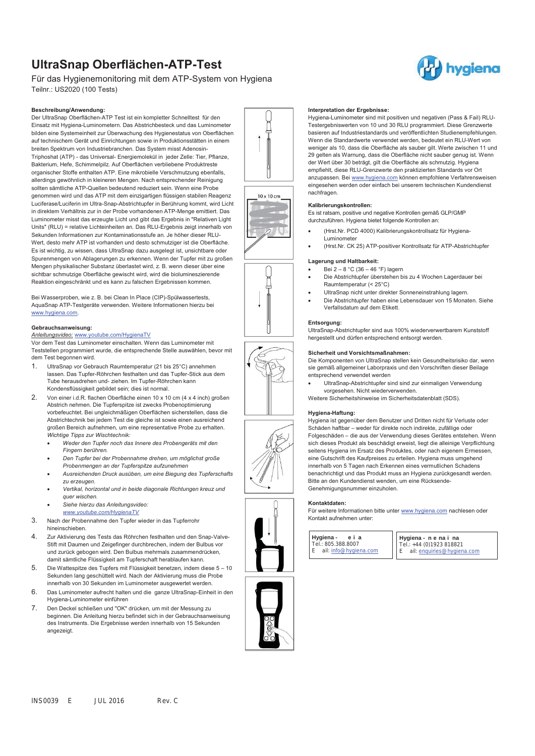## **UltraSnap Oberflächen-ATP-Test**

Für das Hygienemonitoring mit dem ATP-System von Hygiena Teilnr.: US2020 (100 Tests)

#### **Beschreibung/Anwendung:**

Der UltraSnap Oberflächen-ATP Test ist ein kompletter Schnelltest für den Einsatz mit Hygiena-Luminometern. Das Abstrichbesteck und das Luminometer bilden eine Systemeinheit zur Überwachung des Hygienestatus von Oberflächen auf technischem Gerät und Einrichtungen sowie in Produktionsstätten in einem breiten Spektrum von Industriebranchen. Das System misst Adenosin-Triphoshat (ATP) - das Universal- Energiemolekül in jeder Zelle: Tier, Pflanze, Bakterium, Hefe, Schimmelpilz. Auf Oberflächen verbliebene Produktreste organischer Stoffe enthalten ATP. Eine mikrobielle Verschmutzung ebenfalls, allerdings gewöhnlich in kleineren Mengen. Nach entsprechender Reinigung sollten sämtliche ATP-Quellen bedeutend reduziert sein. Wenn eine Probe genommen wird und das ATP mit dem einzigartigen flüssigen stabilen Reagenz Luciferase/Luciferin im Ultra-Snap-Abstrichtupfer in Berührung kommt, wird Licht in direktem Verhältnis zur in der Probe vorhandenen ATP-Menge emittiert. Das Luminometer misst das erzeugte Licht und gibt das Ergebnis in "Relativen Light Units" (RLU) = relative Lichteinheiten an. Das RLU-Ergebnis zeigt innerhalb von Sekunden Informationen zur Kontaminationsstufe an. Je höher dieser RLU-Wert, desto mehr ATP ist vorhanden und desto schmutziger ist die Oberfläche. Es ist wichtig, zu wissen, dass UltraSnap dazu ausgelegt ist, unsichtbare oder Spurenmengen von Ablagerungen zu erkennen. Wenn der Tupfer mit zu großen Mengen physikalischer Substanz überlastet wird, z. B. wenn dieser über eine sichtbar schmutzige Oberfläche gewischt wird, wird die biolumineszierende Reaktion eingeschränkt und es kann zu falschen Ergebnissen kommen.

Bei Wasserproben, wie z. B. bei Clean In Place (CIP)-Spülwassertests, AquaSnap ATP-Testgeräte verwenden. Weitere Informationen hierzu bei www.hygiena.com

### **Gebrauchsanweisung:**

### *Anleitungsvideo:* www.youtube.com/HygienaTV

Vor dem Test das Luminometer einschalten. Wenn das Luminometer mit Teststellen programmiert wurde, die entsprechende Stelle auswählen, bevor mit dem Test begonnen wird.

- 1. UltraSnap vor Gebrauch Raumtemperatur (21 bis 25°C) annehmen lassen. Das Tupfer-Röhrchen festhalten und das Tupfer-Stick aus dem Tube herausdrehen und- ziehen. Im Tupfer-Röhrchen kann Kondensflüssigkeit gebildet sein; dies ist normal.
- 2. Von einer i.d.R. flachen Oberfläche einen 10 x 10 cm (4 x 4 inch) großen Abstrich nehmen. Die Tupferspitze ist zwecks Probenoptimierung vorbefeuchtet. Bei ungleichmäßigen Oberflächen sicherstellen, dass die Abstrichtechnik bei jedem Test die gleiche ist sowie einen ausreichend großen Bereich aufnehmen, um eine representative Probe zu erhalten. *Wichtige Tipps zur Wischtechnik:* 
	- - *Weder den Tupfer noch das Innere des Probengeräts mit den Fingern berühren.*
	- - *Den Tupfer bei der Probennahme drehen, um möglichst große Probenmengen an der Tupferspitze aufzunehmen*
	- - *Ausreichenden Druck ausüben, um eine Biegung des Tupferschafts zu erzeugen.*
	- - *Vertikal, horizontal und in beide diagonale Richtungen kreuz und quer wischen.*
	- -*Siehe hierzu das Anleitungsvideo:*
	- *www.youtube.com/HygienaTV*
- 3. Nach der Probennahme den Tupfer wieder in das Tupferrohr hineinschieben.
- 4. Zur Aktivierung des Tests das Röhrchen festhalten und den Snap-Valve-Stift mit Daumen und Zeigefinger durchbrechen, indem der Bulbus vor und zurück gebogen wird. Den Bulbus mehrmals zusammendrücken, damit sämtliche Flüssigkeit am Tupferschaft herablaufen kann.
- 5. Die Wattespitze des Tupfers mit Flüssigkeit benetzen, indem diese 5 10 Sekunden lang geschüttelt wird. Nach der Aktivierung muss die Probe innerhalb von 30 Sekunden im Luminometer ausgewertet werden.
- 6. Das Luminometer aufrecht halten und die ganze UltraSnap-Einheit in den Hygiena-Luminometer einführen
- 7. Den Deckel schließen und "OK" drücken, um mit der Messung zu beginnen. Die Anleitung hierzu befindet sich in der Gebrauchsanweisung des Instruments. Die Ergebnisse werden innerhalb von 15 Sekunden angezeigt.

#### **Interpretation der Ergebnisse:**

Hygiena-Luminometer sind mit positiven und negativen (Pass & Fail) RLU-Testergebniswerten von 10 und 30 RLU programmiert. Diese Grenzwerte basieren auf Industriestandards und veröffentlichten Studienempfehlungen. Wenn die Standardwerte verwendet werden, bedeutet ein RLU-Wert von weniger als 10, dass die Oberfläche als sauber gilt. Werte zwischen 11 und 29 gelten als Warnung, dass die Oberfläche nicht sauber genug ist. Wenn der Wert über 30 beträgt, gilt die Oberfläche als schmutzig. Hygiena empfiehlt, diese RLU-Grenzwerte den praktizierten Standards vor Ort anzupassen. Bei www.hygiena.com können empfohlene Verfahrensweisen eingesehen werden oder einfach bei unserem technischen Kundendienst nachfragen.

#### **Kalibrierungskontrollen:**

-

-

Es ist ratsam, positive und negative Kontrollen gemäß GLP/GMP durchzuführen. Hygiena bietet folgende Kontrollen an:

- (Hrst.Nr. PCD 4000) Kalibrierungskontrollsatz für Hygiena-Luminometer
- -(Hrst.Nr. CK 25) ATP-positiver Kontrollsatz für ATP-Abstrichtupfer

## **Lagerung und Haltbarkeit:**

- - Bei 2 – 8 °C (36 – 46 °F) lagern -
	- Die Abstrichtupfer überstehen bis zu 4 Wochen Lagerdauer bei Raumtemperatur (< 25°C)
- UltraSnap nicht unter direkter Sonneneinstrahlung lagern.
- - Die Abstrichtupfer haben eine Lebensdauer von 15 Monaten. Siehe Verfallsdatum auf dem Etikett.

## **Entsorgung:**

UltraSnap-Abstrichtupfer sind aus 100% wiederverwertbarem Kunststoff hergestellt und dürfen entsprechend entsorgt werden.

#### **Sicherheit und Vorsichtsmaßnahmen:**

Die Komponenten von UltraSnap stellen kein Gesundheitsrisiko dar, wenn sie gemäß allgemeiner Laborpraxis und den Vorschriften dieser Beilage entsprechend verwendet werden

- UltraSnap-Abstrichtupfer sind sind zur einmaligen Verwendung vorgesehen. Nicht wiederverwenden.

Weitere Sicherheitshinweise im Sicherheitsdatenblatt (SDS).

#### **Hygiena-Haftung:**

Hygiena ist gegenüber dem Benutzer und Dritten nicht für Verluste oder Schäden haftbar – weder für direkte noch indirekte, zufällige oder Folgeschäden – die aus der Verwendung dieses Gerätes entstehen. Wenn sich dieses Produkt als beschädigt erweist, liegt die alleinige Verpflichtung seitens Hygiena im Ersatz des Produktes, oder nach eigenem Ermessen, eine Gutschrift des Kaufpreises zu erteilen. Hygiena muss umgehend innerhalb von 5 Tagen nach Erkennen eines vermutlichen Schadens benachrichtigt und das Produkt muss an Hygiena zurückgesandt werden. Bitte an den Kundendienst wenden, um eine Rücksende-Genehmigungsnummer einzuholen.

#### **Kontaktdaten:**

Für weitere Informationen bitte unter www.hygiena.com nachlesen oder Kontakt aufnehmen unter:

I

**Hygiena - e i a**  Tel.: 805.388.8007 E ail: info@hygiena.com

**Hygiena - n e na i na**  Tel.: +44 (0)1923 818821 ail: enquiries@hygiena.com















 $10 \times 10 cm$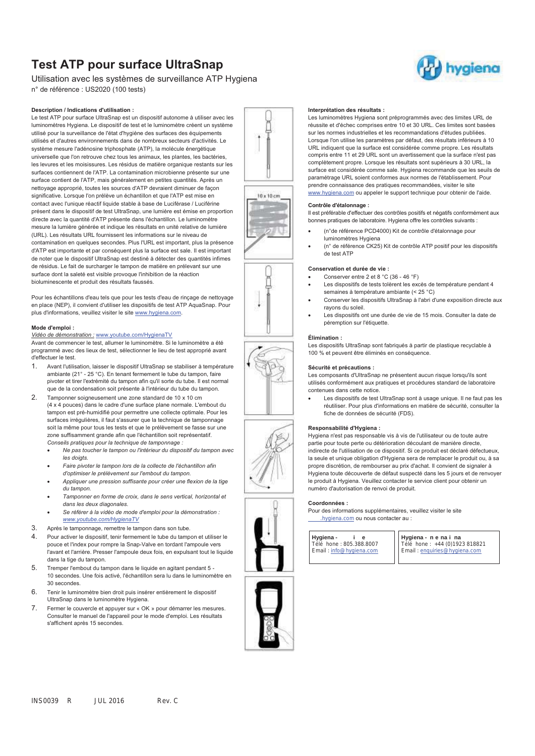## **Test ATP pour surface UltraSnap**

Utilisation avec les systèmes de surveillance ATP Hygiena n° de référence : US2020 (100 tests)

#### **Description / Indications d'utilisation :**

Le test ATP pour surface UltraSnap est un dispositif autonome à utiliser avec les luminomètres Hygiena. Le dispositif de test et le luminomètre créent un système utilisé pour la surveillance de l'état d'hygiène des surfaces des équipements utilisés et d'autres environnements dans de nombreux secteurs d'activités. Le système mesure l'adénosine triphosphate (ATP), la molécule énergétique universelle que l'on retrouve chez tous les animaux, les plantes, les bactéries, les levures et les moisissures. Les résidus de matière organique restants sur les surfaces contiennent de l'ATP. La contamination microbienne présente sur une surface contient de l'ATP, mais généralement en petites quantités. Après un nettoyage approprié, toutes les sources d'ATP devraient diminuer de façon significative. Lorsque l'on prélève un échantillon et que l'ATP est mise en contact avec l'unique réactif liquide stable à base de Luciférase / Luciférine présent dans le dispositif de test UltraSnap, une lumière est émise en proportion directe avec la quantité d'ATP présente dans l'échantillon. Le luminomètre mesure la lumière générée et indique les résultats en unité relative de lumière (URL). Les résultats URL fournissent les informations sur le niveau de contamination en quelques secondes. Plus l'URL est important, plus la présence d'ATP est importante et par conséquent plus la surface est sale. Il est important de noter que le dispositif UltraSnap est destiné à détecter des quantités infimes de résidus. Le fait de surcharger le tampon de matière en prélevant sur une surface dont la saleté est visible provoque l'inhibition de la réaction bioluminescente et produit des résultats faussés.

Pour les échantillons d'eau tels que pour les tests d'eau de rinçage de nettoyage en place (NEP), il convient d'utiliser les dispositifs de test ATP AquaSnap. Pour plus d'informations, veuillez visiter le site www.hygiena.com.

## **Mode d'emploi :**

*Vidéo de démonstration :* www.youtube.com/HygienaTV

Avant de commencer le test, allumer le luminomètre. Si le luminomètre a été programmé avec des lieux de test, sélectionner le lieu de test approprié avant d'effectuer le test.

- 1. Avant l'utilisation, laisser le dispositif UltraSnap se stabiliser à température ambiante (21° - 25 °C). En tenant fermement le tube du tampon, faire pivoter et tirer l'extrémité du tampon afin qu'il sorte du tube. Il est normal que de la condensation soit présente à l'intérieur du tube du tampon.
- 2. Tamponner soigneusement une zone standard de 10 x 10 cm (4 x 4 pouces) dans le cadre d'une surface plane normale. L'embout du tampon est pré-humidifié pour permettre une collecte optimale. Pour les surfaces irrégulières, il faut s'assurer que la technique de tamponnage soit la même pour tous les tests et que le prélèvement se fasse sur une zone suffisamment grande afin que l'échantillon soit représentatif. *Conseils pratiques pour la technique de tamponnage :* 
	- - *Ne pas toucher le tampon ou l'intérieur du dispositif du tampon avec les doigts.*
	- - *Faire pivoter le tampon lors de la collecte de l'échantillon afin d'optimiser le prélèvement sur l'embout du tampon.*
	- - *Appliquer une pression suffisante pour créer une flexion de la tige du tampon.*
	- - *Tamponner en forme de croix, dans le sens vertical, horizontal et dans les deux diagonales.*
	- - *Se référer à la vidéo de mode d'emploi pour la démonstration : www.youtube.com/HygienaTV*
- 3. Après le tamponnage, remettre le tampon dans son tube.
- 4. Pour activer le dispositif, tenir fermement le tube du tampon et utiliser le pouce et l'index pour rompre la Snap-Valve en tordant l'ampoule vers l'avant et l'arrière. Presser l'ampoule deux fois, en expulsant tout le liquide dans la tige du tampon.
- 5. Tremper l'embout du tampon dans le liquide en agitant pendant 5 10 secondes. Une fois activé, l'échantillon sera lu dans le luminomètre en 30 secondes.
- 6. Tenir le luminomètre bien droit puis insérer entièrement le dispositif UltraSnap dans le luminomètre Hygiena.
- 7. Fermer le couvercle et appuyer sur « OK » pour démarrer les mesures. Consulter le manuel de l'appareil pour le mode d'emploi. Les résultats s'affichent après 15 secondes.

### **Interprétation des résultats :**

Les luminomètres Hygiena sont préprogrammés avec des limites URL de réussite et d'échec comprises entre 10 et 30 URL. Ces limites sont basées sur les normes industrielles et les recommandations d'études publiées. Lorsque l'on utilise les paramètres par défaut, des résultats inférieurs à 10 URL indiquent que la surface est considérée comme propre. Les résultats compris entre 11 et 29 URL sont un avertissement que la surface n'est pas complètement propre. Lorsque les résultats sont supérieurs à 30 URL, la surface est considérée comme sale. Hygiena recommande que les seuils de paramétrage URL soient conformes aux normes de l'établissement. Pour prendre connaissance des pratiques recommandées, visiter le site www.hygiena.com ou appeler le support technique pour obtenir de l'aide.

## **Contrôle d'étalonnage :**

-

Il est préférable d'effectuer des contrôles positifs et négatifs conformément aux bonnes pratiques de laboratoire. Hygiena offre les contrôles suivants :

- (n°de référence PCD4000) Kit de contrôle d'étalonnage pour luminomètres Hygiena
- - (n° de référence CK25) Kit de contrôle ATP positif pour les dispositifs de test ATP

## **Conservation et durée de vie :**

-Conserver entre 2 et 8 °C (36 - 46 °F)

- - Les dispositifs de tests tolèrent les excès de température pendant 4 semaines à température ambiante (< 25 °C)
- - Conserver les dispositifs UltraSnap à l'abri d'une exposition directe aux rayons du soleil.
- - Les dispositifs ont une durée de vie de 15 mois. Consulter la date de péremption sur l'étiquette.

#### **Élimination :**

Les dispositifs UltraSnap sont fabriqués à partir de plastique recyclable à 100 % et peuvent être éliminés en conséquence.

#### **Sécurité et précautions :**

Les composants d'UltraSnap ne présentent aucun risque lorsqu'ils sont utilisés conformément aux pratiques et procédures standard de laboratoire contenues dans cette notice.

 Les dispositifs de test UltraSnap sont à usage unique. Il ne faut pas les réutiliser. Pour plus d'informations en matière de sécurité, consulter la fiche de données de sécurité (FDS).

## **Responsabilité d'Hygiena :**

Hygiena n'est pas responsable vis à vis de l'utilisateur ou de toute autre partie pour toute perte ou détérioration découlant de manière directe, indirecte de l'utilisation de ce dispositif. Si ce produit est déclaré défectueux, la seule et unique obligation d'Hygiena sera de remplacer le produit ou, à sa propre discrétion, de rembourser au prix d'achat. Il convient de signaler à Hygiena toute découverte de défaut suspecté dans les 5 jours et de renvoyer le produit à Hygiena. Veuillez contacter le service client pour obtenir un numéro d'autorisation de renvoi de produit.

Pour des informations supplémentaires, veuillez visiter le site .hygiena.com ou nous contacter au :

 $\overline{\phantom{a}}$ 

**Hygiena - i e**  Télé hone : 805.388.8007 Email : info@hygiena.com

**Hygiena - n e na i na**  Télé hone : +44 (0)1923 818821 Email : enquiries@hygiena.com





 $10 - 10 cm$ 



**Coordonnées :** 

-